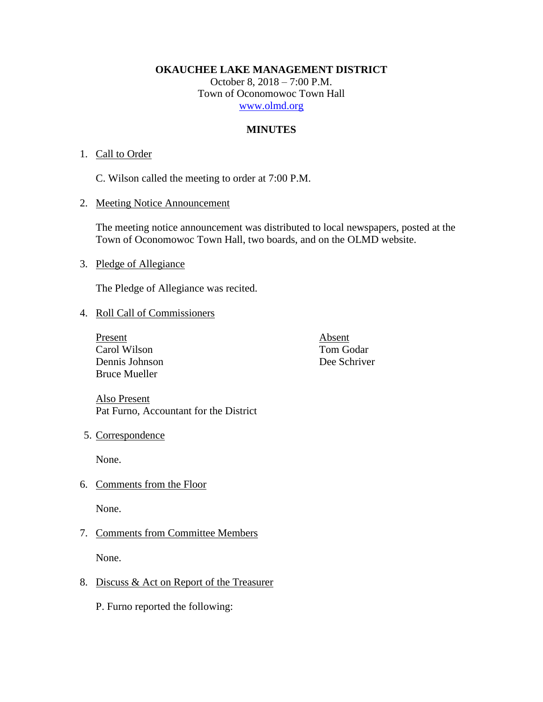**OKAUCHEE LAKE MANAGEMENT DISTRICT**

October 8, 2018 – 7:00 P.M. Town of Oconomowoc Town Hall [www.olmd.org](http://www.olmd.org/)

# **MINUTES**

## 1. Call to Order

C. Wilson called the meeting to order at 7:00 P.M.

2. Meeting Notice Announcement

The meeting notice announcement was distributed to local newspapers, posted at the Town of Oconomowoc Town Hall, two boards, and on the OLMD website.

3. Pledge of Allegiance

The Pledge of Allegiance was recited.

## 4. Roll Call of Commissioners

Present Absent Carol Wilson Tom Godar Dennis Johnson Dee Schriver Bruce Mueller

Also Present Pat Furno, Accountant for the District

5. Correspondence

None.

6. Comments from the Floor

None.

7. Comments from Committee Members

None.

8. Discuss & Act on Report of the Treasurer

P. Furno reported the following: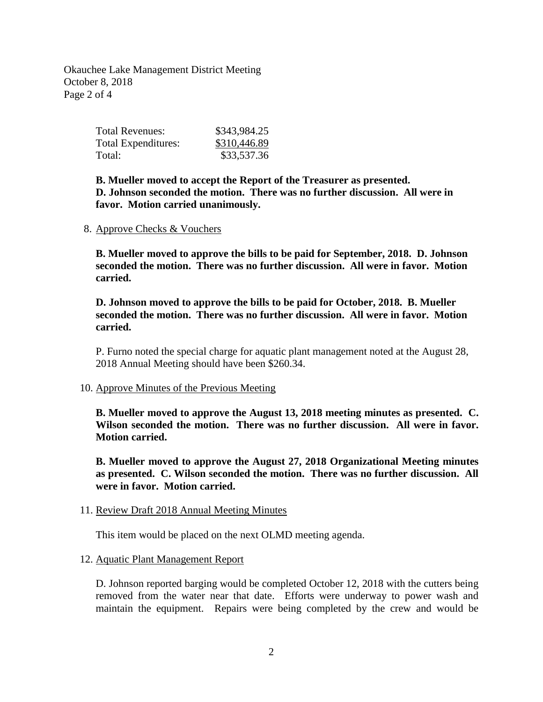Okauchee Lake Management District Meeting October 8, 2018 Page 2 of 4

| Total Revenues:     | \$343,984.25 |
|---------------------|--------------|
| Total Expenditures: | \$310,446.89 |
| Total:              | \$33,537.36  |

**B. Mueller moved to accept the Report of the Treasurer as presented. D. Johnson seconded the motion. There was no further discussion. All were in favor. Motion carried unanimously.**

8. Approve Checks & Vouchers

**B. Mueller moved to approve the bills to be paid for September, 2018. D. Johnson seconded the motion. There was no further discussion. All were in favor. Motion carried.**

**D. Johnson moved to approve the bills to be paid for October, 2018. B. Mueller seconded the motion. There was no further discussion. All were in favor. Motion carried.**

P. Furno noted the special charge for aquatic plant management noted at the August 28, 2018 Annual Meeting should have been \$260.34.

### 10. Approve Minutes of the Previous Meeting

**B. Mueller moved to approve the August 13, 2018 meeting minutes as presented. C. Wilson seconded the motion. There was no further discussion. All were in favor. Motion carried.**

**B. Mueller moved to approve the August 27, 2018 Organizational Meeting minutes as presented. C. Wilson seconded the motion. There was no further discussion. All were in favor. Motion carried.**

### 11. Review Draft 2018 Annual Meeting Minutes

This item would be placed on the next OLMD meeting agenda.

### 12. Aquatic Plant Management Report

D. Johnson reported barging would be completed October 12, 2018 with the cutters being removed from the water near that date. Efforts were underway to power wash and maintain the equipment. Repairs were being completed by the crew and would be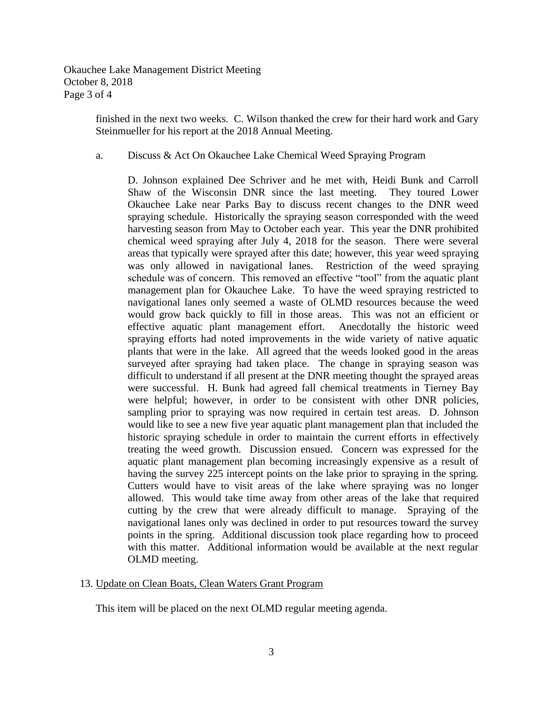Okauchee Lake Management District Meeting October 8, 2018 Page 3 of 4

> finished in the next two weeks. C. Wilson thanked the crew for their hard work and Gary Steinmueller for his report at the 2018 Annual Meeting.

### a. Discuss & Act On Okauchee Lake Chemical Weed Spraying Program

D. Johnson explained Dee Schriver and he met with, Heidi Bunk and Carroll Shaw of the Wisconsin DNR since the last meeting. They toured Lower Okauchee Lake near Parks Bay to discuss recent changes to the DNR weed spraying schedule. Historically the spraying season corresponded with the weed harvesting season from May to October each year. This year the DNR prohibited chemical weed spraying after July 4, 2018 for the season. There were several areas that typically were sprayed after this date; however, this year weed spraying was only allowed in navigational lanes. Restriction of the weed spraying schedule was of concern. This removed an effective "tool" from the aquatic plant management plan for Okauchee Lake. To have the weed spraying restricted to navigational lanes only seemed a waste of OLMD resources because the weed would grow back quickly to fill in those areas. This was not an efficient or effective aquatic plant management effort. Anecdotally the historic weed spraying efforts had noted improvements in the wide variety of native aquatic plants that were in the lake. All agreed that the weeds looked good in the areas surveyed after spraying had taken place. The change in spraying season was difficult to understand if all present at the DNR meeting thought the sprayed areas were successful. H. Bunk had agreed fall chemical treatments in Tierney Bay were helpful; however, in order to be consistent with other DNR policies, sampling prior to spraying was now required in certain test areas. D. Johnson would like to see a new five year aquatic plant management plan that included the historic spraying schedule in order to maintain the current efforts in effectively treating the weed growth. Discussion ensued. Concern was expressed for the aquatic plant management plan becoming increasingly expensive as a result of having the survey 225 intercept points on the lake prior to spraying in the spring. Cutters would have to visit areas of the lake where spraying was no longer allowed. This would take time away from other areas of the lake that required cutting by the crew that were already difficult to manage. Spraying of the navigational lanes only was declined in order to put resources toward the survey points in the spring. Additional discussion took place regarding how to proceed with this matter. Additional information would be available at the next regular OLMD meeting.

### 13. Update on Clean Boats, Clean Waters Grant Program

This item will be placed on the next OLMD regular meeting agenda.